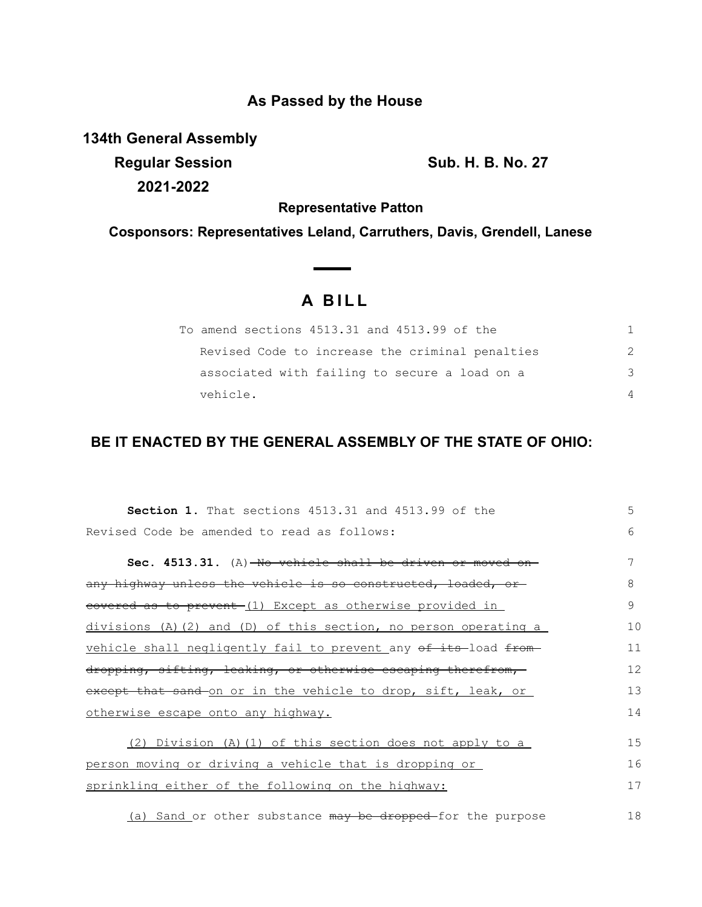## **As Passed by the House**

**134th General Assembly**

**Regular Session Sub. H. B. No. 27 2021-2022**

**Representative Patton**

**Cosponsors: Representatives Leland, Carruthers, Davis, Grendell, Lanese**

 $\overline{\phantom{a}}$ 

## **A B I L L**

| To amend sections 4513.31 and 4513.99 of the    |               |
|-------------------------------------------------|---------------|
| Revised Code to increase the criminal penalties | $\mathcal{P}$ |
| associated with failing to secure a load on a   | 3             |
| vehicle.                                        | 4             |

## **BE IT ENACTED BY THE GENERAL ASSEMBLY OF THE STATE OF OHIO:**

| <b>Section 1.</b> That sections 4513.31 and 4513.99 of the             | 5  |
|------------------------------------------------------------------------|----|
| Revised Code be amended to read as follows:                            | 6  |
| Sec. 4513.31. (A)-No vehicle shall be driven or moved                  |    |
| any highway unless the vehicle is so constructed, loaded, or           | 8  |
| eovered as to prevent-(1) Except as otherwise provided in              | 9  |
| $divisions$ (A)(2) and (D) of this section, no person operating a      | 10 |
| vehicle shall neqligently fail to prevent any of its-load from-        | 11 |
| dropping, sifting, leaking, or otherwise escaping therefrom,           | 12 |
| except that sand on or in the vehicle to drop, sift, leak, or          | 13 |
| otherwise escape onto any highway.                                     | 14 |
| (2) Division (A)(1) of this section does not apply to a                | 15 |
| person moving or driving a vehicle that is dropping or                 | 16 |
| sprinkling either of the following on the highway:                     | 17 |
| (a) Sand or other substance <del>may be dropped </del> for the purpose | 18 |

(a) Sand or other substance may be dropped-for the purpose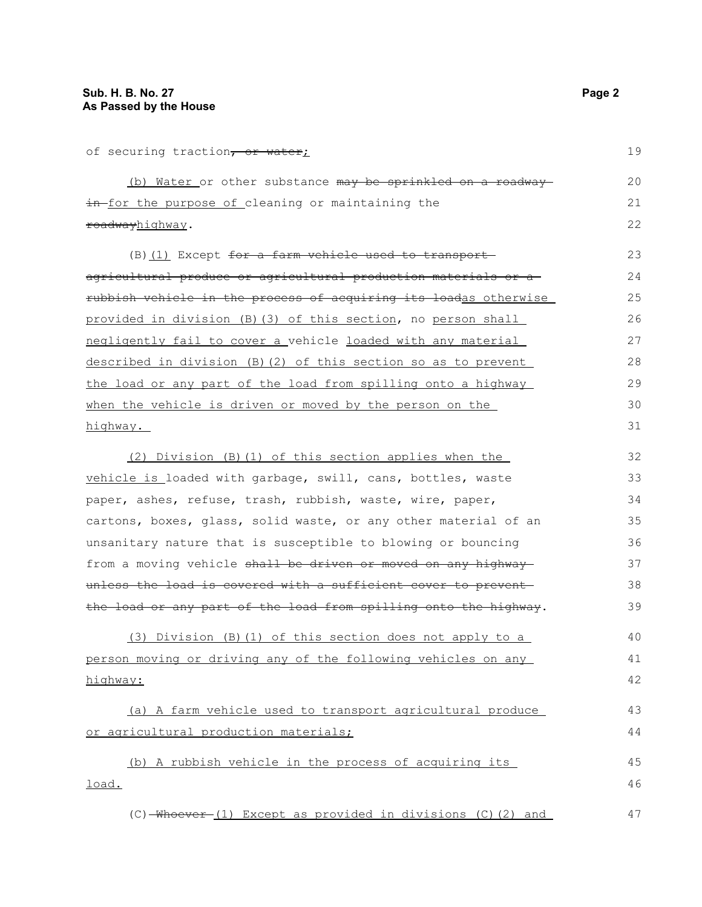of securing traction, or water;

| (b) Water or other substance may be sprinkled on a roadway | 20 |
|------------------------------------------------------------|----|
| in for the purpose of cleaning or maintaining the          |    |
| <del>roadway</del> hiqhway.                                | 22 |

(B) (1) Except for a farm vehicle used to transportagricultural produce or agricultural production materials or a rubbish vehicle in the process of acquiring its loadas otherwise provided in division (B)(3) of this section, no person shall negligently fail to cover a vehicle loaded with any material described in division (B)(2) of this section so as to prevent the load or any part of the load from spilling onto a highway when the vehicle is driven or moved by the person on the highway.

(2) Division (B)(1) of this section applies when the vehicle is loaded with garbage, swill, cans, bottles, waste paper, ashes, refuse, trash, rubbish, waste, wire, paper, cartons, boxes, glass, solid waste, or any other material of an unsanitary nature that is susceptible to blowing or bouncing from a moving vehicle shall be driven or moved on any highway unless the load is covered with a sufficient cover to preventthe load or any part of the load from spilling onto the highway. (3) Division (B)(1) of this section does not apply to a person moving or driving any of the following vehicles on any 32 33 34 35 36 37 38 39 41 42

highway:

(a) A farm vehicle used to transport agricultural produce or agricultural production materials; 43 44

(b) A rubbish vehicle in the process of acquiring its load. 45 46

 $(C)$  -Whoever (1) Except as provided in divisions  $(C)$  (2) and 47

19

40